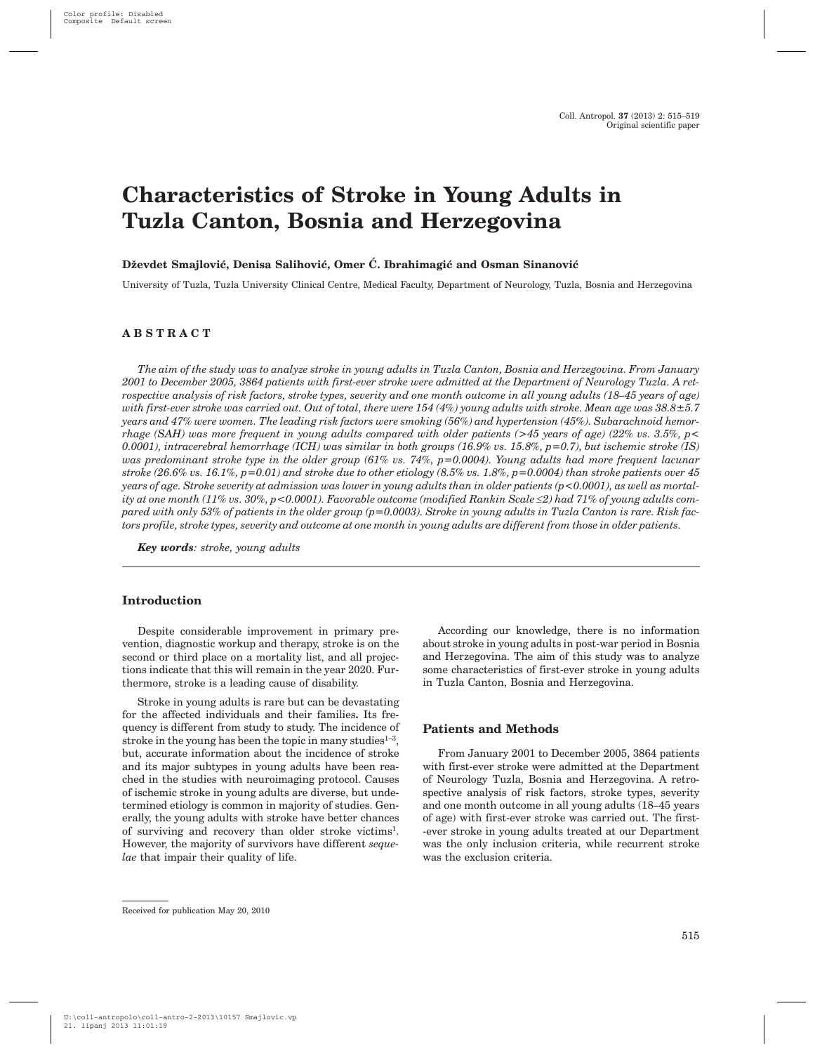# **Characteristics of Stroke in Young Adults in Tuzla Canton, Bosnia and Herzegovina**

# Dževdet Smajlović, Denisa Salihović, Omer Ć. Ibrahimagić and Osman Sinanović

University of Tuzla, Tuzla University Clinical Centre, Medical Faculty, Department of Neurology, Tuzla, Bosnia and Herzegovina

# **ABSTRACT**

*The aim of the study was to analyze stroke in young adults in Tuzla Canton, Bosnia and Herzegovina. From January 2001 to December 2005, 3864 patients with first-ever stroke were admitted at the Department of Neurology Tuzla. A retrospective analysis of risk factors, stroke types, severity and one month outcome in all young adults (18–45 years of age) with first-ever stroke was carried out. Out of total, there were 154 (4%) young adults with stroke. Mean age was 38.8±5.7 years and 47% were women. The leading risk factors were smoking (56%) and hypertension (45%). Subarachnoid hemorrhage (SAH) was more frequent in young adults compared with older patients (>45 years of age) (22% vs. 3.5%, p< 0.0001), intracerebral hemorrhage (ICH) was similar in both groups (16.9% vs. 15.8%, p=0.7), but ischemic stroke (IS) was predominant stroke type in the older group (61% vs. 74%, p=0.0004). Young adults had more frequent lacunar stroke (26.6% vs. 16.1%, p=0.01) and stroke due to other etiology (8.5% vs. 1.8%, p=0.0004) than stroke patients over 45 years of age. Stroke severity at admission was lower in young adults than in older patients (p<0.0001), as well as mortality at one month (11% vs. 30%, p<0.0001). Favorable outcome (modified Rankin Scale £2) had 71% of young adults compared with only 53% of patients in the older group (p=0.0003). Stroke in young adults in Tuzla Canton is rare. Risk factors profile, stroke types, severity and outcome at one month in young adults are different from those in older patients.*

*Key words: stroke, young adults*

#### **Introduction**

Despite considerable improvement in primary prevention, diagnostic workup and therapy, stroke is on the second or third place on a mortality list, and all projections indicate that this will remain in the year 2020. Furthermore, stroke is a leading cause of disability.

Stroke in young adults is rare but can be devastating for the affected individuals and their families**.** Its frequency is different from study to study. The incidence of stroke in the young has been the topic in many studies $1-3$ , but, accurate information about the incidence of stroke and its major subtypes in young adults have been reached in the studies with neuroimaging protocol. Causes of ischemic stroke in young adults are diverse, but undetermined etiology is common in majority of studies. Generally, the young adults with stroke have better chances of surviving and recovery than older stroke victims1. However, the majority of survivors have different *sequelae* that impair their quality of life.

According our knowledge, there is no information about stroke in young adults in post-war period in Bosnia and Herzegovina. The aim of this study was to analyze some characteristics of first-ever stroke in young adults in Tuzla Canton, Bosnia and Herzegovina.

#### **Patients and Methods**

From January 2001 to December 2005, 3864 patients with first-ever stroke were admitted at the Department of Neurology Tuzla, Bosnia and Herzegovina. A retrospective analysis of risk factors, stroke types, severity and one month outcome in all young adults (18–45 years of age) with first-ever stroke was carried out. The first- -ever stroke in young adults treated at our Department was the only inclusion criteria, while recurrent stroke was the exclusion criteria.

Received for publication May 20, 2010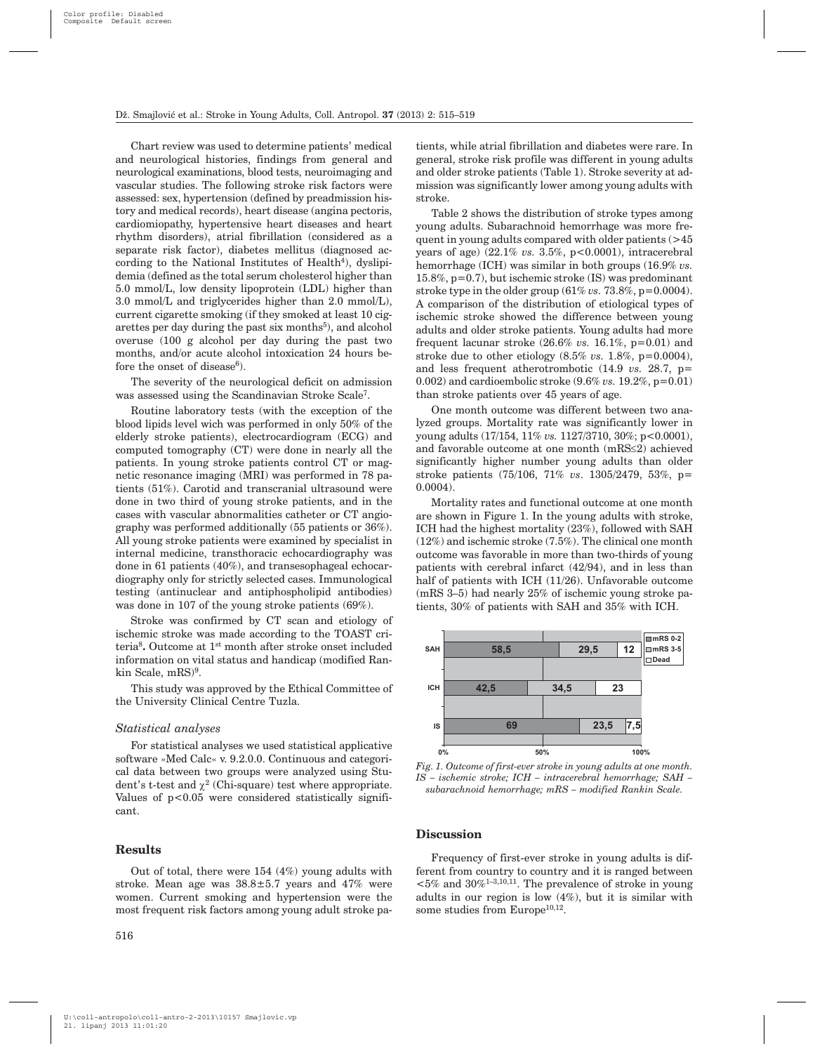Chart review was used to determine patients' medical and neurological histories, findings from general and neurological examinations, blood tests, neuroimaging and vascular studies. The following stroke risk factors were assessed: sex, hypertension (defined by preadmission history and medical records), heart disease (angina pectoris, cardiomiopathy, hypertensive heart diseases and heart rhythm disorders), atrial fibrillation (considered as a separate risk factor), diabetes mellitus (diagnosed according to the National Institutes of Health<sup>4</sup>), dyslipidemia (defined as the total serum cholesterol higher than 5.0 mmol/L, low density lipoprotein (LDL) higher than 3.0 mmol/L and triglycerides higher than 2.0 mmol/L), current cigarette smoking (if they smoked at least 10 cigarettes per day during the past six months $5$ , and alcohol overuse (100 g alcohol per day during the past two months, and/or acute alcohol intoxication 24 hours before the onset of disease $6$ ).

The severity of the neurological deficit on admission was assessed using the Scandinavian Stroke Scale7.

Routine laboratory tests (with the exception of the blood lipids level wich was performed in only 50% of the elderly stroke patients), electrocardiogram (ECG) and computed tomography (CT) were done in nearly all the patients. In young stroke patients control CT or magnetic resonance imaging (MRI) was performed in 78 patients (51%). Carotid and transcranial ultrasound were done in two third of young stroke patients, and in the cases with vascular abnormalities catheter or CT angiography was performed additionally (55 patients or 36%). All young stroke patients were examined by specialist in internal medicine, transthoracic echocardiography was done in 61 patients (40%), and transesophageal echocardiography only for strictly selected cases. Immunological testing (antinuclear and antiphospholipid antibodies) was done in 107 of the young stroke patients (69%).

Stroke was confirmed by CT scan and etiology of ischemic stroke was made according to the TOAST criteria8**.** Outcome at 1st month after stroke onset included information on vital status and handicap (modified Rankin Scale, mRS)<sup>9</sup>.

This study was approved by the Ethical Committee of the University Clinical Centre Tuzla.

#### *Statistical analyses*

For statistical analyses we used statistical applicative software »Med Calc« v. 9.2.0.0. Continuous and categorical data between two groups were analyzed using Student's t-test and  $\chi^2$  (Chi-square) test where appropriate. Values of p<0.05 were considered statistically significant.

#### **Results**

Out of total, there were 154 (4%) young adults with stroke. Mean age was 38.8±5.7 years and 47% were women. Current smoking and hypertension were the most frequent risk factors among young adult stroke pa-

tients, while atrial fibrillation and diabetes were rare. In general, stroke risk profile was different in young adults and older stroke patients (Table 1). Stroke severity at admission was significantly lower among young adults with stroke.

Table 2 shows the distribution of stroke types among young adults. Subarachnoid hemorrhage was more frequent in young adults compared with older patients (>45 years of age) (22.1% *vs.* 3.5%, p<0.0001), intracerebral hemorrhage (ICH) was similar in both groups (16.9% *vs.* 15.8%, p=0.7), but ischemic stroke (IS) was predominant stroke type in the older group  $(61\% vs. 73.8\%, p=0.0004)$ . A comparison of the distribution of etiological types of ischemic stroke showed the difference between young adults and older stroke patients. Young adults had more frequent lacunar stroke  $(26.6\% \text{ vs. } 16.1\% , p=0.01)$  and stroke due to other etiology (8.5% *vs.* 1.8%, p=0.0004), and less frequent atherotrombotic (14.9 *vs.* 28.7, p= 0.002) and cardioembolic stroke (9.6% *vs.* 19.2%, p=0.01) than stroke patients over 45 years of age.

One month outcome was different between two analyzed groups. Mortality rate was significantly lower in young adults (17/154, 11% *vs.* 1127/3710, 30%; p<0.0001), and favorable outcome at one month  $(mRS \leq 2)$  achieved significantly higher number young adults than older stroke patients (75/106, 71% *vs*. 1305/2479, 53%, p= 0.0004).

Mortality rates and functional outcome at one month are shown in Figure 1. In the young adults with stroke, ICH had the highest mortality (23%), followed with SAH (12%) and ischemic stroke (7.5%). The clinical one month outcome was favorable in more than two-thirds of young patients with cerebral infarct (42/94), and in less than half of patients with ICH (11/26). Unfavorable outcome (mRS 3–5) had nearly 25% of ischemic young stroke patients, 30% of patients with SAH and 35% with ICH.



*Fig. 1. Outcome of first-ever stroke in young adults at one month. IS – ischemic stroke; ICH – intracerebral hemorrhage; SAH – subarachnoid hemorrhage; mRS – modified Rankin Scale.*

# **Discussion**

Frequency of first-ever stroke in young adults is different from country to country and it is ranged between  $<$  5% and 30%<sup>1-3,10,11</sup>. The prevalence of stroke in young adults in our region is low (4%), but it is similar with some studies from Europe $10,12$ .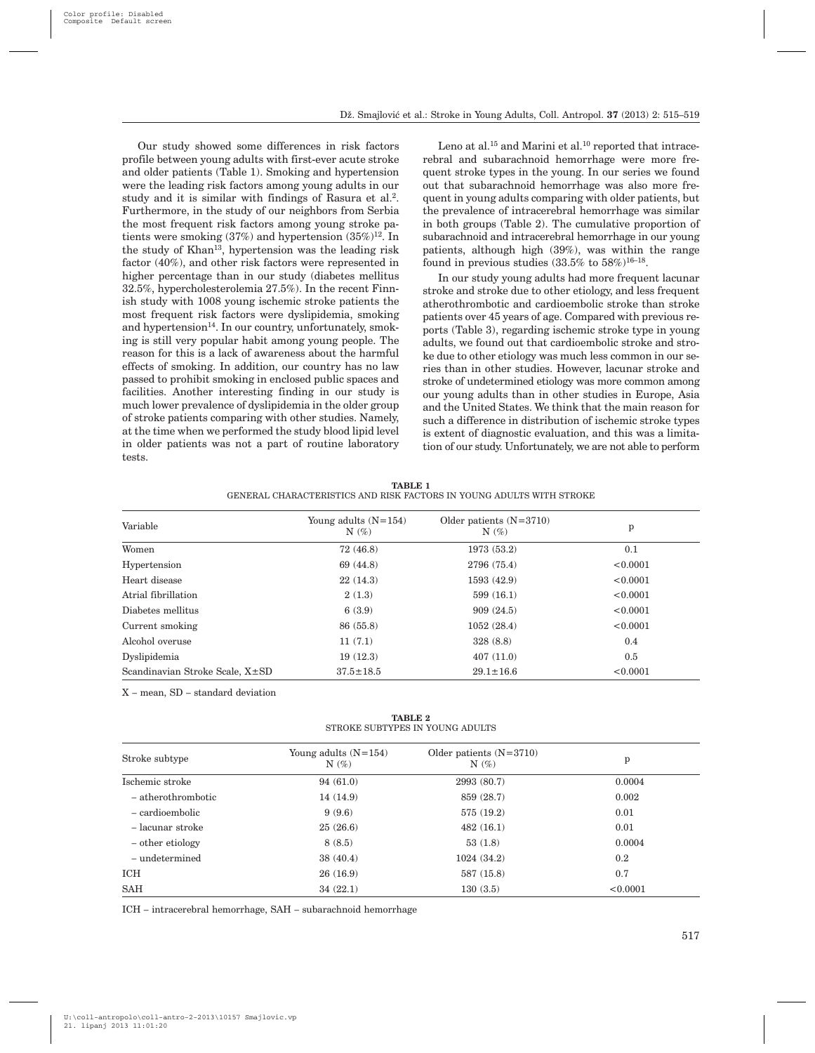Our study showed some differences in risk factors profile between young adults with first-ever acute stroke and older patients (Table 1). Smoking and hypertension were the leading risk factors among young adults in our study and it is similar with findings of Rasura et al.2. Furthermore, in the study of our neighbors from Serbia the most frequent risk factors among young stroke patients were smoking  $(37%)$  and hypertension  $(35%)^{12}$ . In the study of Khan13, hypertension was the leading risk factor (40%), and other risk factors were represented in higher percentage than in our study (diabetes mellitus 32.5%, hypercholesterolemia 27.5%). In the recent Finnish study with 1008 young ischemic stroke patients the most frequent risk factors were dyslipidemia, smoking and hypertension $14$ . In our country, unfortunately, smoking is still very popular habit among young people. The reason for this is a lack of awareness about the harmful effects of smoking. In addition, our country has no law passed to prohibit smoking in enclosed public spaces and facilities. Another interesting finding in our study is much lower prevalence of dyslipidemia in the older group of stroke patients comparing with other studies. Namely, at the time when we performed the study blood lipid level in older patients was not a part of routine laboratory tests.

Leno at al.<sup>15</sup> and Marini et al.<sup>10</sup> reported that intracerebral and subarachnoid hemorrhage were more frequent stroke types in the young. In our series we found out that subarachnoid hemorrhage was also more frequent in young adults comparing with older patients, but the prevalence of intracerebral hemorrhage was similar in both groups (Table 2). The cumulative proportion of subarachnoid and intracerebral hemorrhage in our young patients, although high (39%), was within the range found in previous studies  $(33.5\% \text{ to } 58\%)^{16-18}$ .

In our study young adults had more frequent lacunar stroke and stroke due to other etiology, and less frequent atherothrombotic and cardioembolic stroke than stroke patients over 45 years of age. Compared with previous reports (Table 3), regarding ischemic stroke type in young adults, we found out that cardioembolic stroke and stroke due to other etiology was much less common in our series than in other studies. However, lacunar stroke and stroke of undetermined etiology was more common among our young adults than in other studies in Europe, Asia and the United States. We think that the main reason for such a difference in distribution of ischemic stroke types is extent of diagnostic evaluation, and this was a limitation of our study. Unfortunately, we are not able to perform

| TABLE 1 |                                                                      |  |  |  |  |  |
|---------|----------------------------------------------------------------------|--|--|--|--|--|
|         | GENERAL CHARACTERISTICS AND RISK FACTORS IN YOUNG ADULTS WITH STROKE |  |  |  |  |  |

| Variable                        | Young adults $(N=154)$<br>$N(\%)$ | Older patients $(N=3710)$<br>$N(\%)$ | p        |  |
|---------------------------------|-----------------------------------|--------------------------------------|----------|--|
| Women                           | 72(46.8)                          | 1973 (53.2)                          | 0.1      |  |
| Hypertension                    | 69 (44.8)                         | 2796 (75.4)                          | < 0.0001 |  |
| Heart disease                   | 22(14.3)                          | 1593 (42.9)                          | < 0.0001 |  |
| Atrial fibrillation             | 2(1.3)                            | 599(16.1)                            | < 0.0001 |  |
| Diabetes mellitus               | 6(3.9)                            | 909(24.5)                            | < 0.0001 |  |
| Current smoking                 | 86 (55.8)                         | 1052(28.4)                           | < 0.0001 |  |
| Alcohol overuse                 | 11(7.1)                           | 328(8.8)                             | 0.4      |  |
| Dyslipidemia                    | 19(12.3)                          | 407(11.0)                            | 0.5      |  |
| Scandinavian Stroke Scale, X±SD | $37.5 \pm 18.5$                   | $29.1 \pm 16.6$                      | < 0.0001 |  |

X – mean, SD – standard deviation

**TABLE 2** STROKE SUBTYPES IN YOUNG ADULTS

| Stroke subtype     | Young adults $(N=154)$<br>$N(\%)$ | Older patients $(N=3710)$<br>$N(\%)$ | p        |  |
|--------------------|-----------------------------------|--------------------------------------|----------|--|
| Ischemic stroke    | 94(61.0)                          | 2993 (80.7)                          | 0.0004   |  |
| - atherothrombotic | 14 (14.9)                         | 859 (28.7)                           | 0.002    |  |
| - cardioembolic    | 9(9.6)                            | 575 (19.2)                           | 0.01     |  |
| – lacunar stroke   | 25(26.6)                          | 482(16.1)                            | 0.01     |  |
| - other etiology   | 8(8.5)                            | 53(1.8)                              | 0.0004   |  |
| $-$ undetermined   | 38(40.4)                          | 1024(34.2)                           | 0.2      |  |
| ICH                | 26(16.9)                          | 587 (15.8)                           | 0.7      |  |
| <b>SAH</b>         | 34(22.1)                          | 130(3.5)                             | < 0.0001 |  |

ICH – intracerebral hemorrhage, SAH – subarachnoid hemorrhage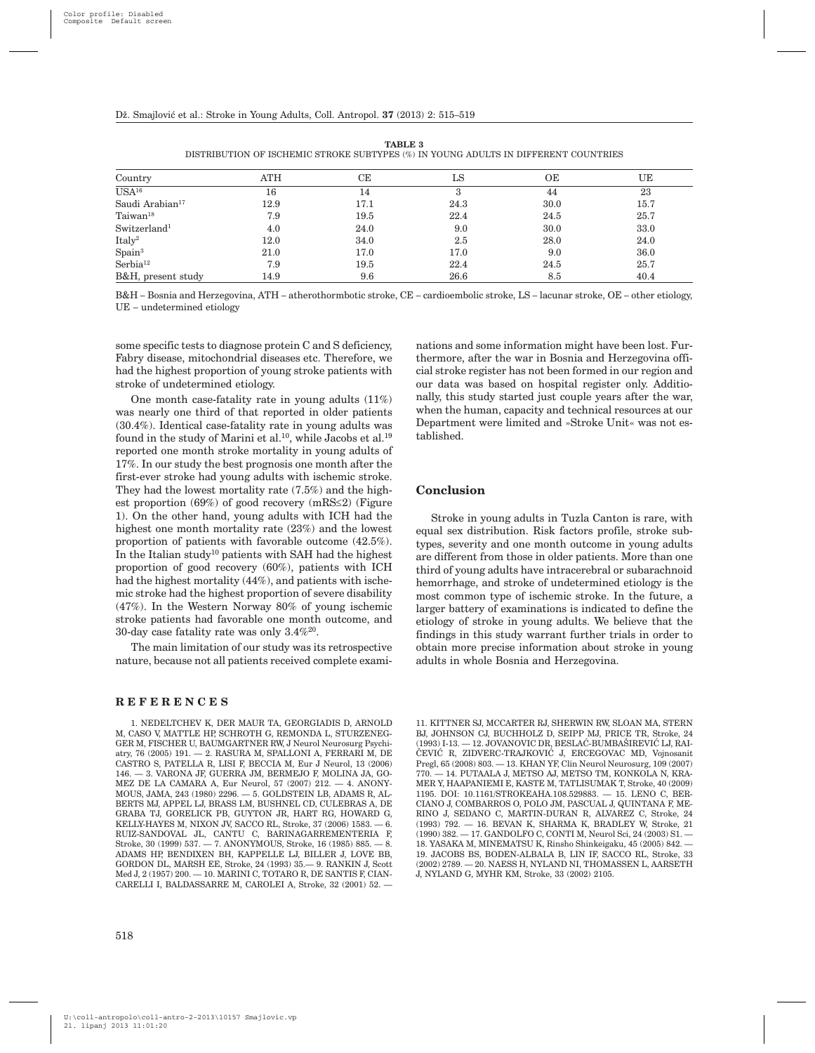| Country                     | <b>ATH</b> | CЕ   | LS   | OЕ   | UΕ   |
|-----------------------------|------------|------|------|------|------|
| USA <sup>16</sup>           | 16         | 14   | 3    | 44   | 23   |
| Saudi Arabian <sup>17</sup> | 12.9       | 17.1 | 24.3 | 30.0 | 15.7 |
| Taiwan <sup>18</sup>        | 7.9        | 19.5 | 22.4 | 24.5 | 25.7 |
| Switzerland <sup>1</sup>    | 4.0        | 24.0 | 9.0  | 30.0 | 33.0 |
| Italy <sup>2</sup>          | 12.0       | 34.0 | 2.5  | 28.0 | 24.0 |
| Spain <sup>3</sup>          | 21.0       | 17.0 | 17.0 | 9.0  | 36.0 |
| Serbia <sup>12</sup>        | 7.9        | 19.5 | 22.4 | 24.5 | 25.7 |
| B&H, present study          | 14.9       | 9.6  | 26.6 | 8.5  | 40.4 |

**TABLE 3** DISTRIBUTION OF ISCHEMIC STROKE SUBTYPES (%) IN YOUNG ADULTS IN DIFFERENT COUNTRIES

B&H – Bosnia and Herzegovina, ATH – atherothormbotic stroke, CE – cardioembolic stroke, LS – lacunar stroke, OE – other etiology, UE – undetermined etiology

some specific tests to diagnose protein C and S deficiency, Fabry disease, mitochondrial diseases etc. Therefore, we had the highest proportion of young stroke patients with stroke of undetermined etiology.

One month case-fatality rate in young adults (11%) was nearly one third of that reported in older patients (30.4%). Identical case-fatality rate in young adults was found in the study of Marini et al.<sup>10</sup>, while Jacobs et al.<sup>19</sup> reported one month stroke mortality in young adults of 17%. In our study the best prognosis one month after the first-ever stroke had young adults with ischemic stroke. They had the lowest mortality rate (7.5%) and the highest proportion  $(69%)$  of good recovery  $(mRS \leq 2)$  (Figure 1). On the other hand, young adults with ICH had the highest one month mortality rate (23%) and the lowest proportion of patients with favorable outcome (42.5%). In the Italian study<sup>10</sup> patients with SAH had the highest proportion of good recovery (60%), patients with ICH had the highest mortality (44%), and patients with ischemic stroke had the highest proportion of severe disability (47%). In the Western Norway 80% of young ischemic stroke patients had favorable one month outcome, and 30-day case fatality rate was only 3.4%20.

The main limitation of our study was its retrospective nature, because not all patients received complete exami-

#### **REFERENCES**

1. NEDELTCHEV K, DER MAUR TA, GEORGIADIS D, ARNOLD M, CASO V, MATTLE HP, SCHROTH G, REMONDA L, STURZENEG-GER M, FISCHER U, BAUMGARTNER RW, J Neurol Neurosurg Psychiatry, 76 (2005) 191. — 2. RASURA M, SPALLONI A, FERRARI M, DE CASTRO S, PATELLA R, LISI F, BECCIA M, Eur J Neurol, 13 (2006) 146. — 3. VARONA JF, GUERRA JM, BERMEJO F, MOLINA JA, GO-MEZ DE LA CAMARA A, Eur Neurol, 57 (2007) 212. — 4. ANONY-MOUS, JAMA, 243 (1980) 2296. — 5. GOLDSTEIN LB, ADAMS R, AL-BERTS MJ, APPEL LJ, BRASS LM, BUSHNEL CD, CULEBRAS A, DE GRABA TJ, GORELICK PB, GUYTON JR, HART RG, HOWARD G, KELLY-HAYES M, NIXON JV, SACCO RL, Stroke, 37 (2006) 1583. — 6. RUIZ-SANDOVAL JL, CANTU C, BARINAGARREMENTERIA F, Stroke, 30 (1999) 537. — 7. ANONYMOUS, Stroke, 16 (1985) 885. — 8. ADAMS HP, BENDIXEN BH, KAPPELLE LJ, BILLER J, LOVE BB, GORDON DL, MARSH EE, Stroke, 24 (1993) 35.— 9. RANKIN J, Scott Med J, 2 (1957) 200. — 10. MARINI C, TOTARO R, DE SANTIS F, CIAN-CARELLI I, BALDASSARRE M, CAROLEI A, Stroke, 32 (2001) 52. —

nations and some information might have been lost. Furthermore, after the war in Bosnia and Herzegovina official stroke register has not been formed in our region and our data was based on hospital register only. Additionally, this study started just couple years after the war, when the human, capacity and technical resources at our Department were limited and »Stroke Unit« was not established.

# **Conclusion**

Stroke in young adults in Tuzla Canton is rare, with equal sex distribution. Risk factors profile, stroke subtypes, severity and one month outcome in young adults are different from those in older patients. More than one third of young adults have intracerebral or subarachnoid hemorrhage, and stroke of undetermined etiology is the most common type of ischemic stroke. In the future, a larger battery of examinations is indicated to define the etiology of stroke in young adults. We believe that the findings in this study warrant further trials in order to obtain more precise information about stroke in young adults in whole Bosnia and Herzegovina.

11. KITTNER SJ, MCCARTER RJ, SHERWIN RW, SLOAN MA, STERN BJ, JOHNSON CJ, BUCHHOLZ D, SEIPP MJ, PRICE TR, Stroke, 24  $(1993)$ I-13. — 12. JOVANOVIC DR, BESLAĆ-BUMBAŠIREVIĆ LJ, RAI-ČEVIĆ R, ZIDVERC-TRAJKOVIĆ J, ERCEGOVAC MD, Vojnosanit Pregl, 65 (2008) 803. — 13. KHAN YF, Clin Neurol Neurosurg, 109 (2007) - 14. PUTAALA J, METSO AJ, METSO TM, KONKOLA N, KRA-MER Y, HAAPANIEMI E, KASTE M, TATLISUMAK T, Stroke, 40 (2009) 1195. DOI: 10.1161/STROKEAHA.108.529883. — 15. LENO C, BER-CIANO J, COMBARROS O, POLO JM, PASCUAL J, QUINTANA F, ME-RINO J, SEDANO C, MARTIN-DURAN R, ALVAREZ C, Stroke, 24 (1993) 792. — 16. BEVAN K, SHARMA K, BRADLEY W, Stroke, 21 (1990) 382. — 17. GANDOLFO C, CONTI M, Neurol Sci, 24 (2003) S1. — 18. YASAKA M, MINEMATSU K, Rinsho Shinkeigaku, 45 (2005) 842. — 19. JACOBS BS, BODEN-ALBALA B, LIN IF, SACCO RL, Stroke, 33 (2002) 2789. — 20. NAESS H, NYLAND NI, THOMASSEN L, AARSETH J, NYLAND G, MYHR KM, Stroke, 33 (2002) 2105.